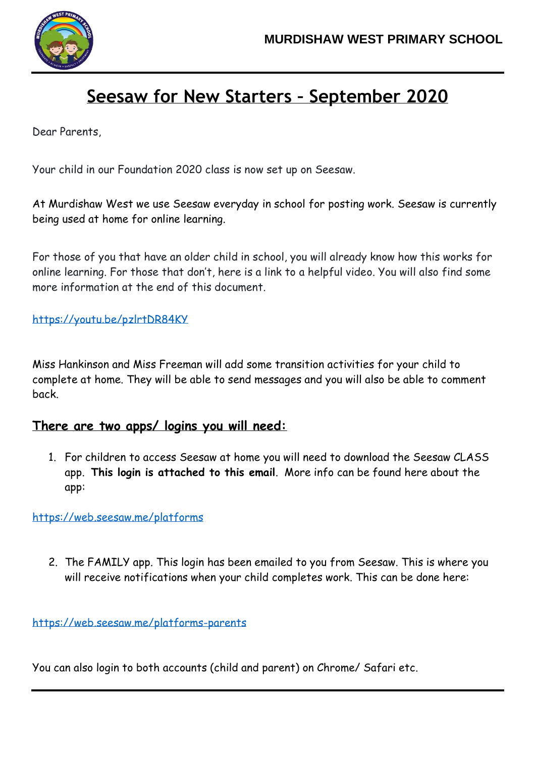

## **Seesaw for New Starters – September 2020**

Dear Parents,

Your child in our Foundation 2020 class is now set up on Seesaw.

At Murdishaw West we use Seesaw everyday in school for posting work. Seesaw is currently being used at home for online learning.

For those of you that have an older child in school, you will already know how this works for online learning. For those that don't, here is a link to a helpful video. You will also find some more information at the end of this document.

<https://youtu.be/pzlrtDR84KY>

Miss Hankinson and Miss Freeman will add some transition activities for your child to complete at home. They will be able to send messages and you will also be able to comment back.

## **There are two apps/ logins you will need:**

1. For children to access Seesaw at home you will need to download the Seesaw CLASS app. **This login is attached to this email**. More info can be found here about the app:

<https://web.seesaw.me/platforms>

2. The FAMILY app. This login has been emailed to you from Seesaw. This is where you will receive notifications when your child completes work. This can be done here:

<https://web.seesaw.me/platforms-parents>

You can also login to both accounts (child and parent) on Chrome/ Safari etc.